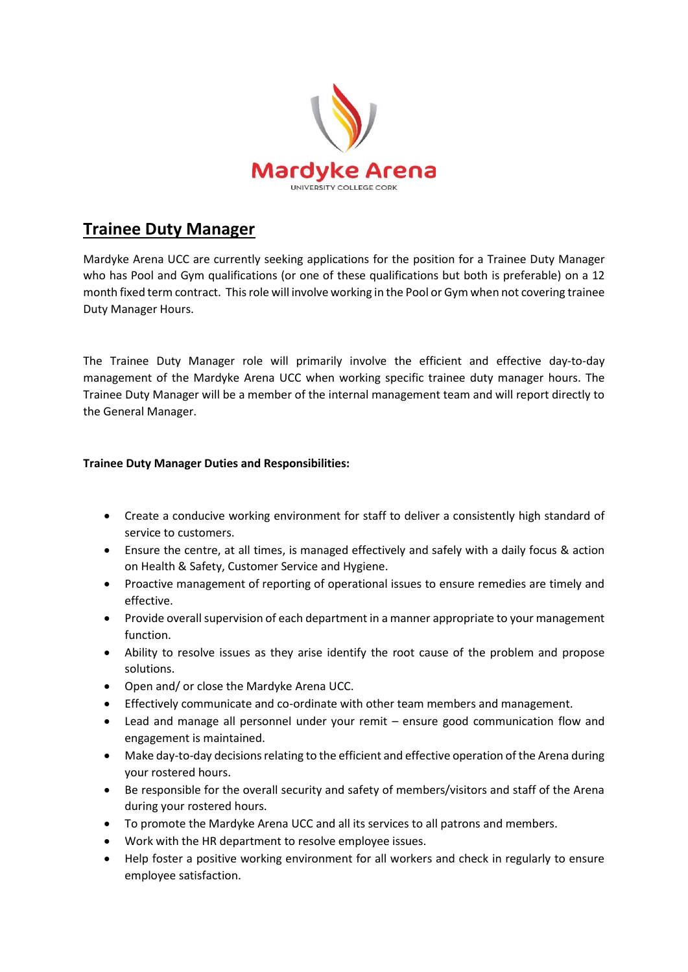

## **Trainee Duty Manager**

Mardyke Arena UCC are currently seeking applications for the position for a Trainee Duty Manager who has Pool and Gym qualifications (or one of these qualifications but both is preferable) on a 12 month fixed term contract. This role will involve working in the Pool or Gym when not covering trainee Duty Manager Hours.

The Trainee Duty Manager role will primarily involve the efficient and effective day-to-day management of the Mardyke Arena UCC when working specific trainee duty manager hours. The Trainee Duty Manager will be a member of the internal management team and will report directly to the General Manager.

## **Trainee Duty Manager Duties and Responsibilities:**

- Create a conducive working environment for staff to deliver a consistently high standard of service to customers.
- Ensure the centre, at all times, is managed effectively and safely with a daily focus & action on Health & Safety, Customer Service and Hygiene.
- Proactive management of reporting of operational issues to ensure remedies are timely and effective.
- Provide overall supervision of each department in a manner appropriate to your management function.
- Ability to resolve issues as they arise identify the root cause of the problem and propose solutions.
- Open and/ or close the Mardyke Arena UCC.
- Effectively communicate and co-ordinate with other team members and management.
- Lead and manage all personnel under your remit ensure good communication flow and engagement is maintained.
- Make day-to-day decisions relating to the efficient and effective operation of the Arena during your rostered hours.
- Be responsible for the overall security and safety of members/visitors and staff of the Arena during your rostered hours.
- To promote the Mardyke Arena UCC and all its services to all patrons and members.
- Work with the HR department to resolve employee issues.
- Help foster a positive working environment for all workers and check in regularly to ensure employee satisfaction.